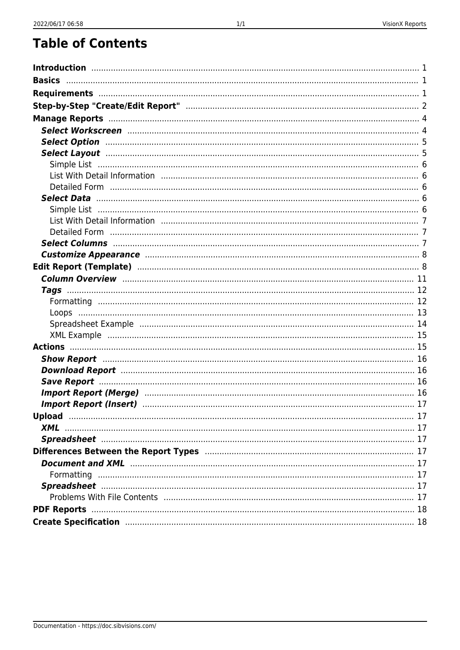| Customize Appearance manufactured and the set of the set of the set of the set of the set of the set of the set o                                                                                                              |  |
|--------------------------------------------------------------------------------------------------------------------------------------------------------------------------------------------------------------------------------|--|
|                                                                                                                                                                                                                                |  |
|                                                                                                                                                                                                                                |  |
|                                                                                                                                                                                                                                |  |
|                                                                                                                                                                                                                                |  |
|                                                                                                                                                                                                                                |  |
|                                                                                                                                                                                                                                |  |
|                                                                                                                                                                                                                                |  |
|                                                                                                                                                                                                                                |  |
|                                                                                                                                                                                                                                |  |
| Download Report manufactured and the control of the 16                                                                                                                                                                         |  |
|                                                                                                                                                                                                                                |  |
|                                                                                                                                                                                                                                |  |
| Import Report (Insert) manufacture and the control of the control of the control of the control of the control of the control of the control of the control of the control of the control of the control of the control of the |  |
|                                                                                                                                                                                                                                |  |
|                                                                                                                                                                                                                                |  |
|                                                                                                                                                                                                                                |  |
|                                                                                                                                                                                                                                |  |
|                                                                                                                                                                                                                                |  |
|                                                                                                                                                                                                                                |  |
|                                                                                                                                                                                                                                |  |
|                                                                                                                                                                                                                                |  |
|                                                                                                                                                                                                                                |  |
|                                                                                                                                                                                                                                |  |
|                                                                                                                                                                                                                                |  |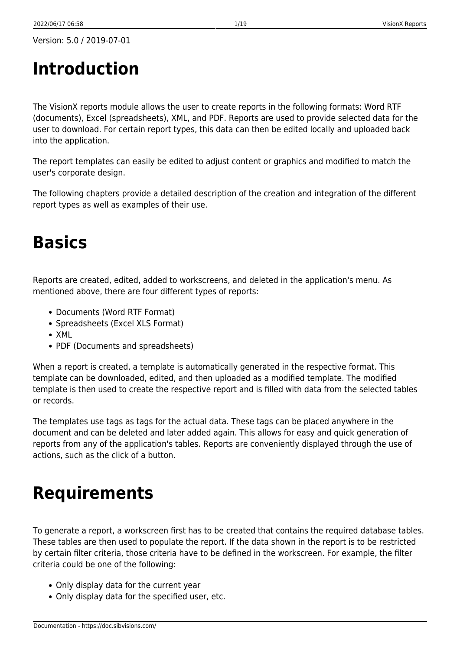# <span id="page-1-0"></span>**Introduction**

The VisionX reports module allows the user to create reports in the following formats: Word RTF (documents), Excel (spreadsheets), XML, and PDF. Reports are used to provide selected data for the user to download. For certain report types, this data can then be edited locally and uploaded back into the application.

The report templates can easily be edited to adjust content or graphics and modified to match the user's corporate design.

The following chapters provide a detailed description of the creation and integration of the different report types as well as examples of their use.

## <span id="page-1-1"></span>**Basics**

Reports are created, edited, added to workscreens, and deleted in the application's menu. As mentioned above, there are four different types of reports:

- Documents (Word RTF Format)
- Spreadsheets (Excel XLS Format)
- XML
- PDF (Documents and spreadsheets)

When a report is created, a template is automatically generated in the respective format. This template can be downloaded, edited, and then uploaded as a modified template. The modified template is then used to create the respective report and is filled with data from the selected tables or records.

The templates use tags as tags for the actual data. These tags can be placed anywhere in the document and can be deleted and later added again. This allows for easy and quick generation of reports from any of the application's tables. Reports are conveniently displayed through the use of actions, such as the click of a button.

# <span id="page-1-2"></span>**Requirements**

To generate a report, a workscreen first has to be created that contains the required database tables. These tables are then used to populate the report. If the data shown in the report is to be restricted by certain filter criteria, those criteria have to be defined in the workscreen. For example, the filter criteria could be one of the following:

- Only display data for the current year
- Only display data for the specified user, etc.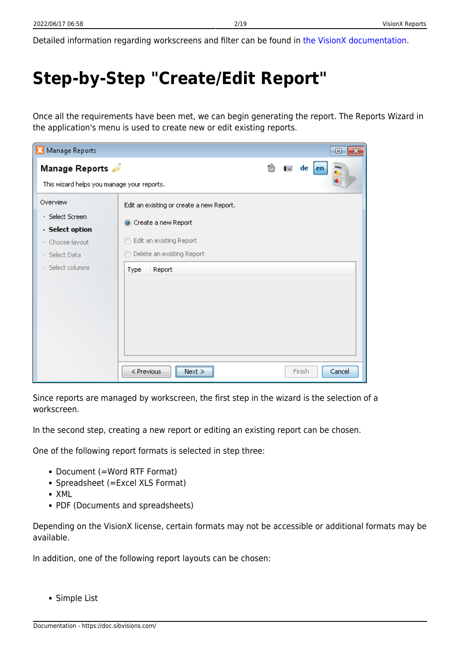Detailed information regarding workscreens and filter can be found in [the VisionX documentation](https://doc.sibvisions.com/visionx/documentation).

# <span id="page-2-0"></span>**Step-by-Step "Create/Edit Report"**

Once all the requirements have been met, we can begin generating the report. The Reports Wizard in the application's menu is used to create new or edit existing reports.

| Manage Reports<br>$\Box$<br>x                                                        |                                                                             |  |  |  |
|--------------------------------------------------------------------------------------|-----------------------------------------------------------------------------|--|--|--|
| Manage Reports<br>This wizard helps you manage your reports.                         | 凾<br>de<br><b>The </b><br>  en                                              |  |  |  |
| Overview                                                                             | Edit an existing or create a new Report.                                    |  |  |  |
| · Select Screen<br>· Select option<br>· Choose layout<br>Select Data<br>$\mathbf{r}$ | Create a new Report<br>Edit an existing Report<br>Delete an existing Report |  |  |  |
| · Select columns                                                                     | Report<br>Type                                                              |  |  |  |
|                                                                                      | < Previous<br>Cancel<br>Finish<br>Next >                                    |  |  |  |

Since reports are managed by workscreen, the first step in the wizard is the selection of a workscreen.

In the second step, creating a new report or editing an existing report can be chosen.

One of the following report formats is selected in step three:

- Document (=Word RTF Format)
- Spreadsheet (=Excel XLS Format)
- XML
- PDF (Documents and spreadsheets)

Depending on the VisionX license, certain formats may not be accessible or additional formats may be available.

In addition, one of the following report layouts can be chosen:

Simple List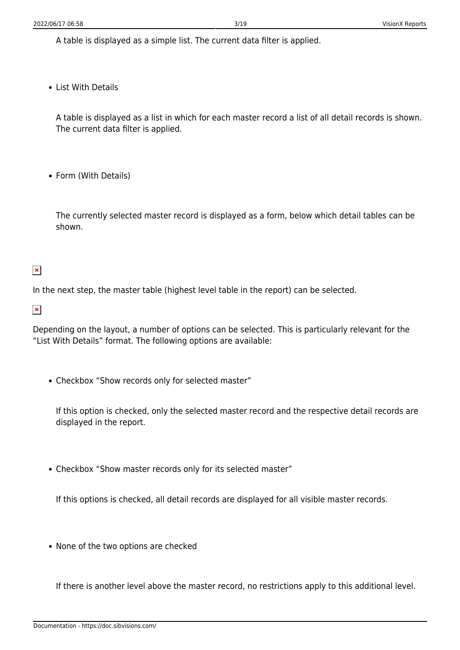A table is displayed as a simple list. The current data filter is applied.

• List With Details

A table is displayed as a list in which for each master record a list of all detail records is shown. The current data filter is applied.

• Form (With Details)

The currently selected master record is displayed as a form, below which detail tables can be shown.

#### $\pmb{\times}$

In the next step, the master table (highest level table in the report) can be selected.

#### $\pmb{\times}$

Depending on the layout, a number of options can be selected. This is particularly relevant for the "List With Details" format. The following options are available:

Checkbox "Show records only for selected master"

If this option is checked, only the selected master record and the respective detail records are displayed in the report.

Checkbox "Show master records only for its selected master"

If this options is checked, all detail records are displayed for all visible master records.

• None of the two options are checked

If there is another level above the master record, no restrictions apply to this additional level.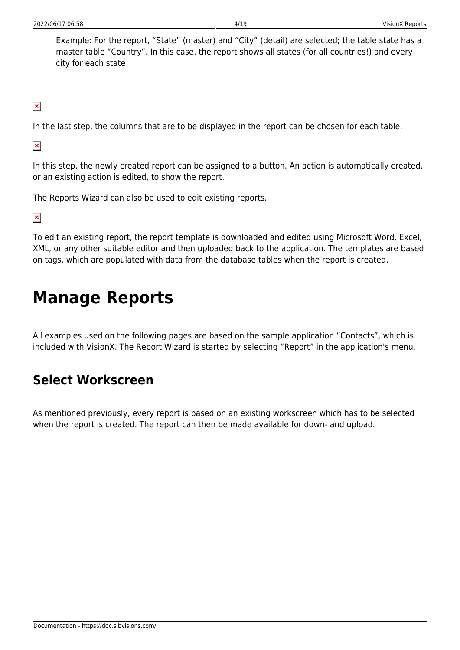Example: For the report, "State" (master) and "City" (detail) are selected; the table state has a master table "Country". In this case, the report shows all states (for all countries!) and every city for each state

 $\pmb{\times}$ 

In the last step, the columns that are to be displayed in the report can be chosen for each table.

 $\pmb{\times}$ 

In this step, the newly created report can be assigned to a button. An action is automatically created, or an existing action is edited, to show the report.

The Reports Wizard can also be used to edit existing reports.

 $\pmb{\times}$ 

To edit an existing report, the report template is downloaded and edited using Microsoft Word, Excel, XML, or any other suitable editor and then uploaded back to the application. The templates are based on tags, which are populated with data from the database tables when the report is created.

## <span id="page-4-0"></span>**Manage Reports**

All examples used on the following pages are based on the sample application "Contacts", which is included with VisionX. The Report Wizard is started by selecting "Report" in the application's menu.

## <span id="page-4-1"></span>**Select Workscreen**

As mentioned previously, every report is based on an existing workscreen which has to be selected when the report is created. The report can then be made available for down- and upload.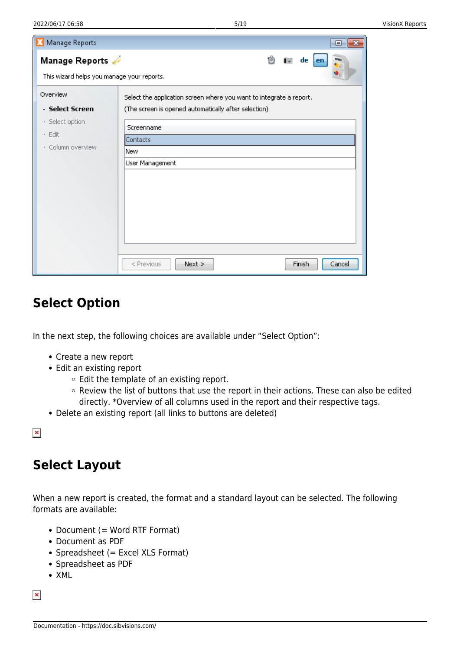| Manage Reports                                               | 同                                                                                                                           |
|--------------------------------------------------------------|-----------------------------------------------------------------------------------------------------------------------------|
| Manage Reports<br>This wizard helps you manage your reports. | $de$ en<br><b>The T</b>                                                                                                     |
| Overview<br>· Select Screen                                  | Select the application screen where you want to integrate a report.<br>(The screen is opened automatically after selection) |
| · Select option<br>· Edit<br>· Column overview               | Screenname<br>Contacts<br><b>New</b>                                                                                        |
|                                                              | User Management                                                                                                             |
|                                                              |                                                                                                                             |
|                                                              |                                                                                                                             |
|                                                              | Finish<br>Cancel<br>$<$ Previous<br>Next                                                                                    |

## <span id="page-5-0"></span>**Select Option**

In the next step, the following choices are available under "Select Option":

- Create a new report
- Edit an existing report
	- $\circ$  Edit the template of an existing report.
	- o Review the list of buttons that use the report in their actions. These can also be edited directly. \*Overview of all columns used in the report and their respective tags.
- Delete an existing report (all links to buttons are deleted)

 $\pmb{\times}$ 

## <span id="page-5-1"></span>**Select Layout**

When a new report is created, the format and a standard layout can be selected. The following formats are available:

- Document (= Word RTF Format)
- Document as PDF
- Spreadsheet (= Excel XLS Format)
- Spreadsheet as PDF
- $\bullet$  XMI

 $\pmb{\times}$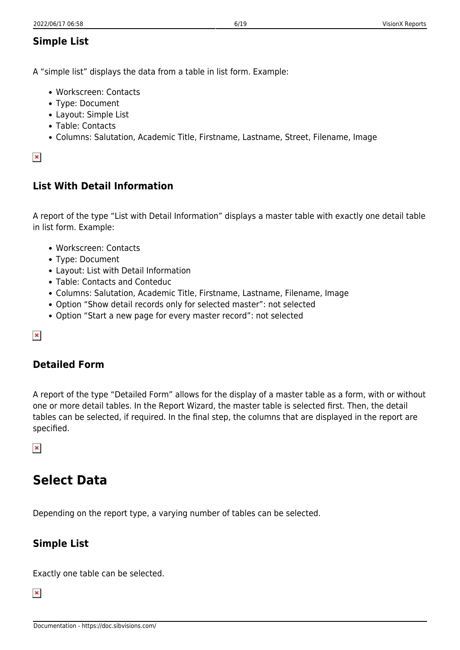#### <span id="page-6-0"></span>**Simple List**

A "simple list" displays the data from a table in list form. Example:

- Workscreen: Contacts
- Type: Document
- Layout: Simple List
- Table: Contacts
- Columns: Salutation, Academic Title, Firstname, Lastname, Street, Filename, Image

#### $\pmb{\times}$

#### <span id="page-6-1"></span>**List With Detail Information**

A report of the type "List with Detail Information" displays a master table with exactly one detail table in list form. Example:

- Workscreen: Contacts
- Type: Document
- Layout: List with Detail Information
- Table: Contacts and Conteduc
- Columns: Salutation, Academic Title, Firstname, Lastname, Filename, Image
- Option "Show detail records only for selected master": not selected
- Option "Start a new page for every master record": not selected

#### $\pmb{\times}$

#### <span id="page-6-2"></span>**Detailed Form**

A report of the type "Detailed Form" allows for the display of a master table as a form, with or without one or more detail tables. In the Report Wizard, the master table is selected first. Then, the detail tables can be selected, if required. In the final step, the columns that are displayed in the report are specified.

 $\pmb{\times}$ 

### <span id="page-6-3"></span>**Select Data**

Depending on the report type, a varying number of tables can be selected.

#### <span id="page-6-4"></span>**Simple List**

Exactly one table can be selected.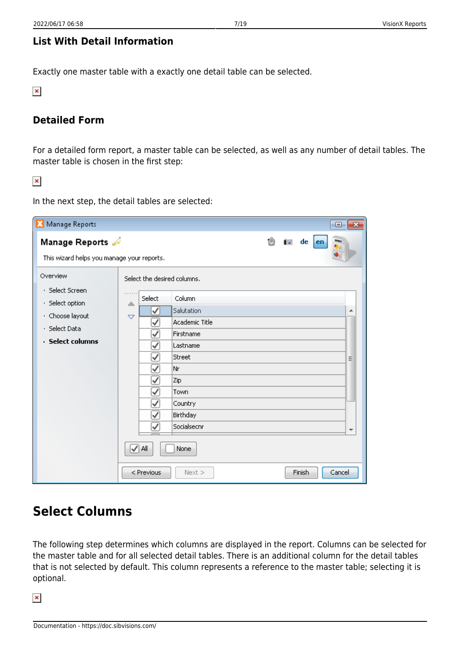#### <span id="page-7-0"></span>**List With Detail Information**

Exactly one master table with a exactly one detail table can be selected.

 $\pmb{\times}$ 

#### <span id="page-7-1"></span>**Detailed Form**

For a detailed form report, a master table can be selected, as well as any number of detail tables. The master table is chosen in the first step:

 $\pmb{\times}$ 

Manage Reports  $\overline{\mathbf{z}}$  $\Box$ 病 de Manage Reports file. en This wizard helps you manage your reports. Overview Select the desired columns. · Select Screen Select Column · Select option  $\Delta$ ⊽ Salutation. À · Choose layout  $\overline{a}$ Academic Title ✓ · Select Data ⊽ Firstname · Select columns ⊽ Lastname Street ✓ Ė ⊽ lNr ⊽ Zip V Town Country ⊽ Birthday ✓ Socialsecnr V I√ All None < Previous Next > Finish Cancel

#### In the next step, the detail tables are selected:

## <span id="page-7-2"></span>**Select Columns**

The following step determines which columns are displayed in the report. Columns can be selected for the master table and for all selected detail tables. There is an additional column for the detail tables that is not selected by default. This column represents a reference to the master table; selecting it is optional.

 $\pmb{\times}$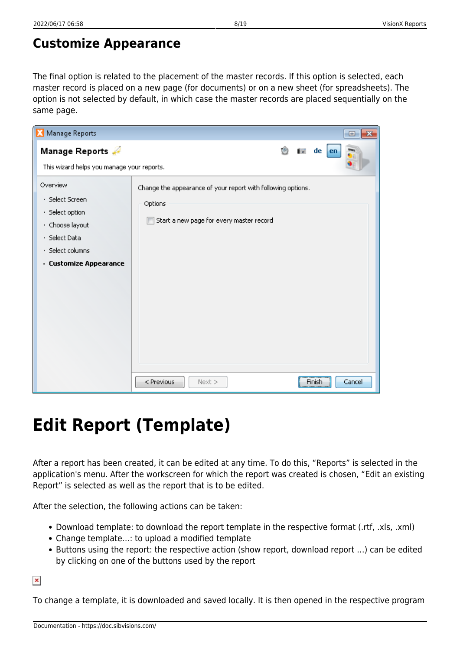<span id="page-8-0"></span>The final option is related to the placement of the master records. If this option is selected, each master record is placed on a new page (for documents) or on a new sheet (for spreadsheets). The option is not selected by default, in which case the master records are placed sequentially on the same page.

| Manage Reports                                                                                                                   | $\Box$<br>-23                                                                                                       |
|----------------------------------------------------------------------------------------------------------------------------------|---------------------------------------------------------------------------------------------------------------------|
| Manage Reports<br>This wizard helps you manage your reports.                                                                     | 1B)<br><b>The</b><br>de<br>en                                                                                       |
| Overview<br>· Select Screen<br>· Select option<br>· Choose layout<br>· Select Data<br>· Select columns<br>· Customize Appearance | Change the appearance of your report with following options.<br>Options<br>Start a new page for every master record |
|                                                                                                                                  | < Previous<br>Cancel<br>Finish<br>$Next$ >                                                                          |

# <span id="page-8-1"></span>**Edit Report (Template)**

After a report has been created, it can be edited at any time. To do this, "Reports" is selected in the application's menu. After the workscreen for which the report was created is chosen, "Edit an existing Report" is selected as well as the report that is to be edited.

After the selection, the following actions can be taken:

- Download template: to download the report template in the respective format (.rtf, .xls, .xml)
- Change template…: to upload a modified template
- Buttons using the report: the respective action (show report, download report …) can be edited by clicking on one of the buttons used by the report

 $\pmb{\times}$ 

To change a template, it is downloaded and saved locally. It is then opened in the respective program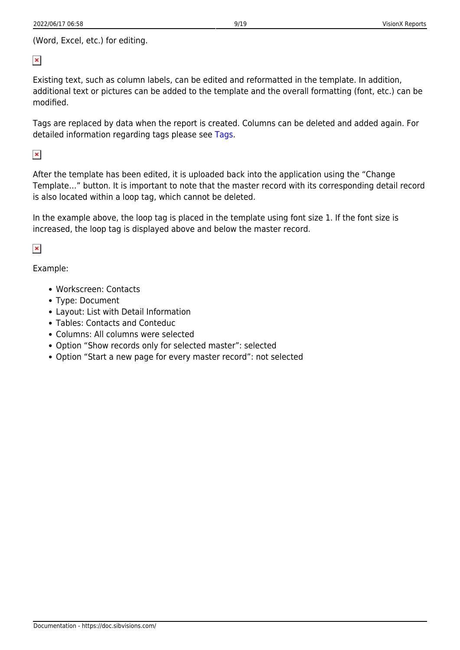$\pmb{\times}$ 

Existing text, such as column labels, can be edited and reformatted in the template. In addition, additional text or pictures can be added to the template and the overall formatting (font, etc.) can be modified.

Tags are replaced by data when the report is created. Columns can be deleted and added again. For detailed information regarding tags please see [Tags.](#page-12-2)

 $\pmb{\times}$ 

After the template has been edited, it is uploaded back into the application using the "Change Template…" button. It is important to note that the master record with its corresponding detail record is also located within a loop tag, which cannot be deleted.

In the example above, the loop tag is placed in the template using font size 1. If the font size is increased, the loop tag is displayed above and below the master record.

 $\pmb{\times}$ 

Example:

- Workscreen: Contacts
- Type: Document
- Layout: List with Detail Information
- Tables: Contacts and Conteduc
- Columns: All columns were selected
- Option "Show records only for selected master": selected
- Option "Start a new page for every master record": not selected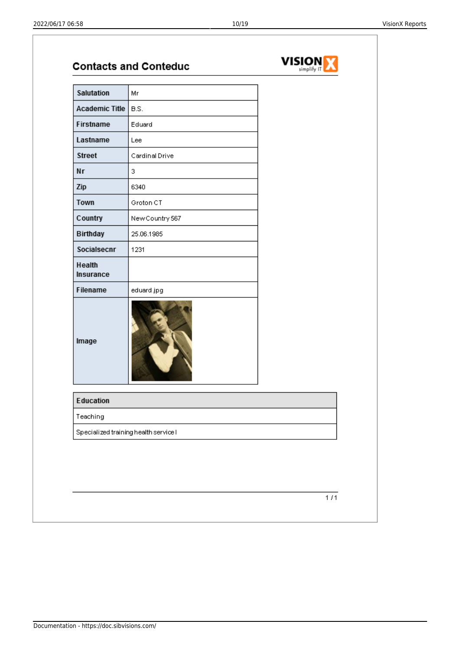|                       | <b>Contacts and Conteduc</b> | <b>VISION</b><br>simplify I' |
|-----------------------|------------------------------|------------------------------|
| Salutation            | Mr                           |                              |
| Academic Title   B.S. |                              |                              |
| Firstname             | Eduard                       |                              |
| Lastname              | Lee                          |                              |
| <b>Street</b>         | Cardinal Drive               |                              |
| Nr                    | 3                            |                              |
| Zip                   | 6340                         |                              |
| Town                  | Groton CT                    |                              |
| Country               | New Country 567              |                              |
| Birthday              | 25.06.1985                   |                              |
| Socialsecnr           | 1231                         |                              |
| Health<br>Insurance   |                              |                              |
| Filename              | eduard.jpg                   |                              |
| Image                 |                              |                              |
| Education             |                              |                              |
|                       |                              |                              |
| Teaching              |                              |                              |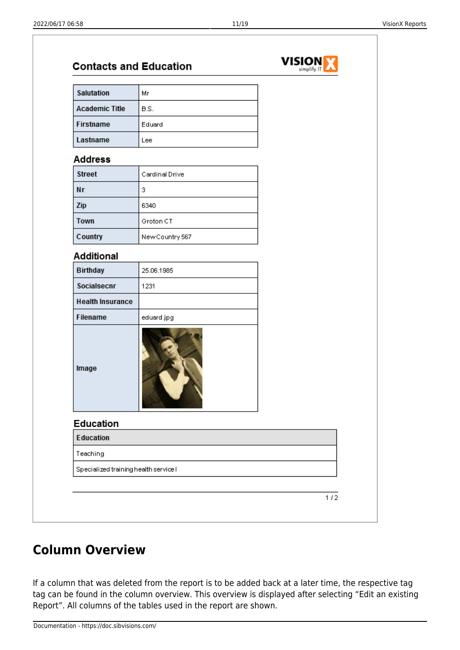**VISION V7** 

| B.S.<br>Eduard<br>Lee<br>Cardinal Drive<br>6340<br>Groton CT<br>New Country 567<br>25.06.1985<br>1231 |                                       |
|-------------------------------------------------------------------------------------------------------|---------------------------------------|
|                                                                                                       |                                       |
|                                                                                                       |                                       |
|                                                                                                       |                                       |
|                                                                                                       |                                       |
|                                                                                                       |                                       |
|                                                                                                       |                                       |
|                                                                                                       |                                       |
|                                                                                                       |                                       |
|                                                                                                       |                                       |
|                                                                                                       |                                       |
|                                                                                                       |                                       |
|                                                                                                       |                                       |
|                                                                                                       |                                       |
|                                                                                                       |                                       |
| eduard.jpg                                                                                            |                                       |
|                                                                                                       |                                       |
|                                                                                                       |                                       |
|                                                                                                       |                                       |
|                                                                                                       |                                       |
|                                                                                                       |                                       |
|                                                                                                       | Specialized training health service I |

## <span id="page-11-0"></span>**Column Overview**

If a column that was deleted from the report is to be added back at a later time, the respective tag tag can be found in the column overview. This overview is displayed after selecting "Edit an existing Report". All columns of the tables used in the report are shown.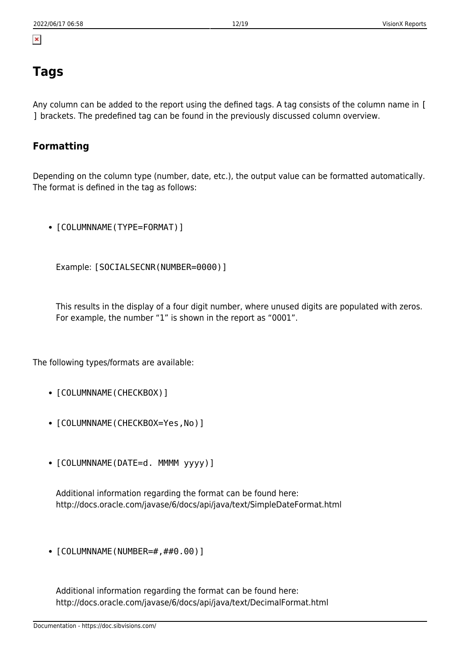## <span id="page-12-2"></span><span id="page-12-0"></span>**Tags**

 $\pmb{\times}$ 

Any column can be added to the report using the defined tags. A tag consists of the column name in [ ] brackets. The predefined tag can be found in the previously discussed column overview.

#### <span id="page-12-3"></span><span id="page-12-1"></span>**Formatting**

Depending on the column type (number, date, etc.), the output value can be formatted automatically. The format is defined in the tag as follows:

• [COLUMNNAME(TYPE=FORMAT)]

Example: [SOCIALSECNR(NUMBER=0000)]

This results in the display of a four digit number, where unused digits are populated with zeros. For example, the number "1" is shown in the report as "0001".

The following types/formats are available:

- [COLUMNNAME(CHECKBOX)]
- [COLUMNNAME(CHECKBOX=Yes, No)]
- [COLUMNNAME(DATE=d. MMMM yyyy)]

Additional information regarding the format can be found here: http://docs.oracle.com/javase/6/docs/api/java/text/SimpleDateFormat.html

 $\bullet$  [COLUMNNAME(NUMBER=#,##0.00)]

Additional information regarding the format can be found here: http://docs.oracle.com/javase/6/docs/api/java/text/DecimalFormat.html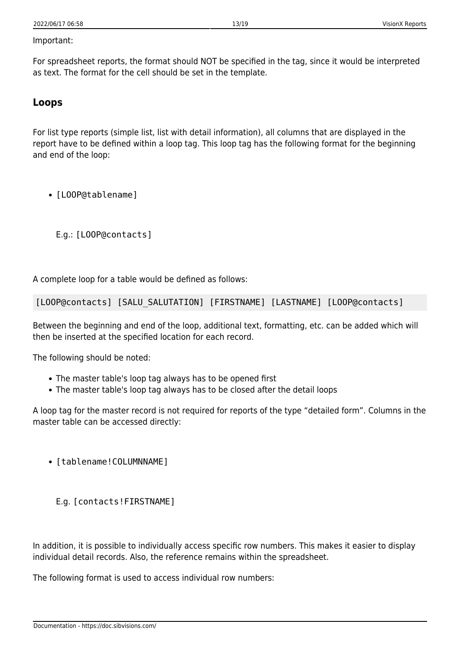#### Important:

For spreadsheet reports, the format should NOT be specified in the tag, since it would be interpreted as text. The format for the cell should be set in the template.

#### <span id="page-13-0"></span>**Loops**

For list type reports (simple list, list with detail information), all columns that are displayed in the report have to be defined within a loop tag. This loop tag has the following format for the beginning and end of the loop:

• [LOOP@tablename]

E.g.: [LOOP@contacts]

A complete loop for a table would be defined as follows:

[LOOP@contacts] [SALU SALUTATION] [FIRSTNAME] [LASTNAME] [LOOP@contacts]

Between the beginning and end of the loop, additional text, formatting, etc. can be added which will then be inserted at the specified location for each record.

The following should be noted:

- The master table's loop tag always has to be opened first
- The master table's loop tag always has to be closed after the detail loops

A loop tag for the master record is not required for reports of the type "detailed form". Columns in the master table can be accessed directly:

- [tablename! COLUMNNAME]
	- E.g. [contacts!FIRSTNAME]

In addition, it is possible to individually access specific row numbers. This makes it easier to display individual detail records. Also, the reference remains within the spreadsheet.

The following format is used to access individual row numbers: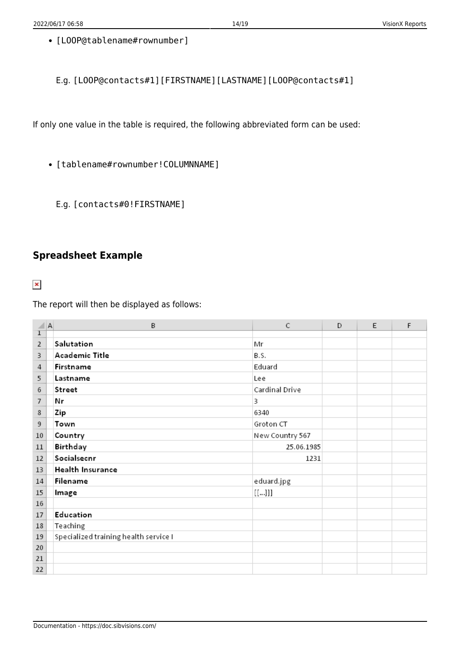• [LOOP@tablename#rownumber]

E.g. [LOOP@contacts#1][FIRSTNAME][LASTNAME][LOOP@contacts#1]

If only one value in the table is required, the following abbreviated form can be used:

- [tablename#rownumber!COLUMNNAME]
	- E.g. [contacts#0!FIRSTNAME]

#### <span id="page-14-0"></span>**Spreadsheet Example**

 $\pmb{\times}$ 

The report will then be displayed as follows:

| ◢              | A | B                                     | C               | D | E | F |
|----------------|---|---------------------------------------|-----------------|---|---|---|
| $\mathbf{I}$   |   |                                       |                 |   |   |   |
| $\overline{2}$ |   | Salutation                            | Mr              |   |   |   |
| 3              |   | Academic Title                        | B.S.            |   |   |   |
| 4              |   | Firstname                             | Eduard          |   |   |   |
| 5              |   | Lastname                              | Lee             |   |   |   |
| 6              |   | Street                                | Cardinal Drive  |   |   |   |
| 7              |   | Nr                                    | 3               |   |   |   |
| 8              |   | Zip                                   | 6340            |   |   |   |
| 9              |   | Town                                  | Groton CT       |   |   |   |
| 10             |   | Country                               | New Country 567 |   |   |   |
| 11             |   | Birthday                              | 25.06.1985      |   |   |   |
| 12             |   | Socialsecnr                           | 1231            |   |   |   |
| 13             |   | Health Insurance                      |                 |   |   |   |
| 14             |   | Filename                              | eduard.jpg      |   |   |   |
| 15             |   | Image                                 | $[[]]]$         |   |   |   |
| 16             |   |                                       |                 |   |   |   |
| 17             |   | Education                             |                 |   |   |   |
| 18             |   | Teaching                              |                 |   |   |   |
| 19             |   | Specialized training health service I |                 |   |   |   |
| 20             |   |                                       |                 |   |   |   |
| 21             |   |                                       |                 |   |   |   |
| 22             |   |                                       |                 |   |   |   |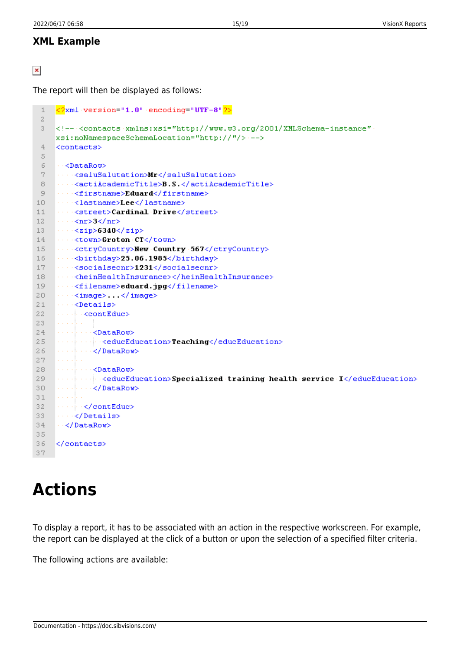#### <span id="page-15-0"></span>**XML Example**

 $\pmb{\times}$ 

The report will then be displayed as follows:

```
<2xml version="1.0" encoding="UTF-8"2>
 \mathbf{1}\mathcal{R}<!---<contacts-xmlns:xsi="http://www.w3.org/2001/XMLSchema-instance"
 3
    xsi:noNamespaceSchemaLocation="http://"/> --->
 4
    <contacts>
 5
     \cdots <DataRow>
 6
 7
    8
 \circ<firstname>Eduard</firstname>
     10
     1112\cdots <nr>3</nr>
13\cdots <zip>6340</zip>
14
    ....<town>Groton.CT</town>
    ----<ctryCountry>New Country 567</ctryCountry>
15- - - < birthday>25.06.1985</birthday>
16
     \cdots <socialsecnr>1231</socialsecnr>
17
18
     \cdots <heinHealthInsurance></heinHealthInsurance>
19
     <filename>eduard.jpg</filename>
20
     \cdots <image> </image>
21\cdots <Details>
     ·······<contEduc>
2.223
     24<educEducation>Teaching</educEducation>
25
26
        · √ √DataRow>
27
28
     Communicator
29
     \cdots \cdots \cdots \cdots \cdots \cdots \cdots \cdots \cdots \cdots \cdots \cdots \cdots \cdots \cdots \cdots \cdots \cdots \cdots \cdots \cdots \cdots \cdots \cdots \cdots \cdots \cdots \cdots \cdots \cdots \cdots \cdots \cdots \cdots \cdots \cdots \cdots30
     3132
     ·······</contEduc>
33
     ···≺/Details>
34
     \cdots </DataRow>
35
36
    \langle/contacts>
37
```
# <span id="page-15-1"></span>**Actions**

To display a report, it has to be associated with an action in the respective workscreen. For example, the report can be displayed at the click of a button or upon the selection of a specified filter criteria.

The following actions are available: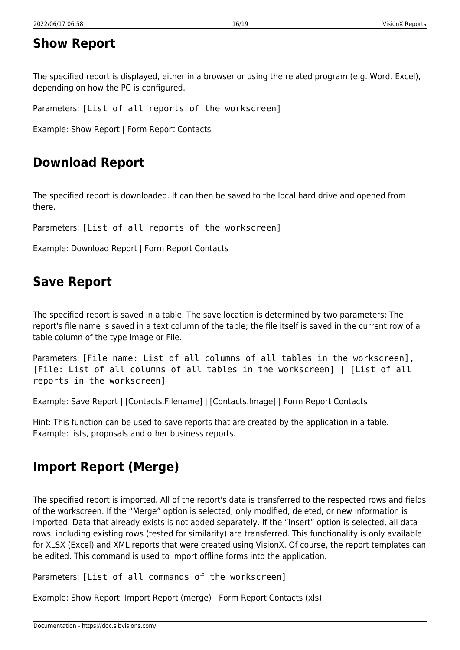## <span id="page-16-0"></span>**Show Report**

The specified report is displayed, either in a browser or using the related program (e.g. Word, Excel), depending on how the PC is configured.

Parameters: [List of all reports of the workscreen]

Example: Show Report | Form Report Contacts

## <span id="page-16-1"></span>**Download Report**

The specified report is downloaded. It can then be saved to the local hard drive and opened from there.

Parameters: [List of all reports of the workscreen]

Example: Download Report | Form Report Contacts

## <span id="page-16-2"></span>**Save Report**

The specified report is saved in a table. The save location is determined by two parameters: The report's file name is saved in a text column of the table; the file itself is saved in the current row of a table column of the type Image or File.

Parameters: [File name: List of all columns of all tables in the workscreen], [File: List of all columns of all tables in the workscreen] | [List of all reports in the workscreen]

Example: Save Report | [Contacts.Filename] | [Contacts.Image] | Form Report Contacts

Hint: This function can be used to save reports that are created by the application in a table. Example: lists, proposals and other business reports.

## <span id="page-16-3"></span>**Import Report (Merge)**

The specified report is imported. All of the report's data is transferred to the respected rows and fields of the workscreen. If the "Merge" option is selected, only modified, deleted, or new information is imported. Data that already exists is not added separately. If the "Insert" option is selected, all data rows, including existing rows (tested for similarity) are transferred. This functionality is only available for XLSX (Excel) and XML reports that were created using VisionX. Of course, the report templates can be edited. This command is used to import offline forms into the application.

Parameters: [List of all commands of the workscreen]

Example: Show Report| Import Report (merge) | Form Report Contacts (xls)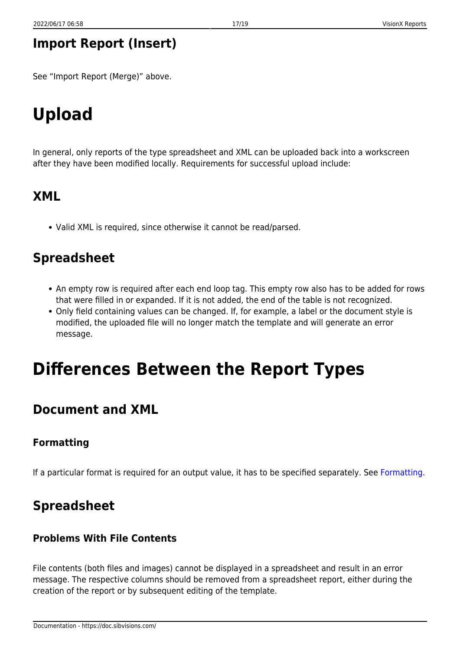## <span id="page-17-0"></span>**Import Report (Insert)**

See "Import Report (Merge)" above.

# <span id="page-17-1"></span>**Upload**

In general, only reports of the type spreadsheet and XML can be uploaded back into a workscreen after they have been modified locally. Requirements for successful upload include:

## <span id="page-17-2"></span>**XML**

Valid XML is required, since otherwise it cannot be read/parsed.

## <span id="page-17-3"></span>**Spreadsheet**

- An empty row is required after each end loop tag. This empty row also has to be added for rows that were filled in or expanded. If it is not added, the end of the table is not recognized.
- Only field containing values can be changed. If, for example, a label or the document style is modified, the uploaded file will no longer match the template and will generate an error message.

# <span id="page-17-4"></span>**Differences Between the Report Types**

## <span id="page-17-5"></span>**Document and XML**

#### <span id="page-17-6"></span>**Formatting**

If a particular format is required for an output value, it has to be specified separately. See [Formatting](#page-12-3).

## <span id="page-17-7"></span>**Spreadsheet**

#### <span id="page-17-8"></span>**Problems With File Contents**

File contents (both files and images) cannot be displayed in a spreadsheet and result in an error message. The respective columns should be removed from a spreadsheet report, either during the creation of the report or by subsequent editing of the template.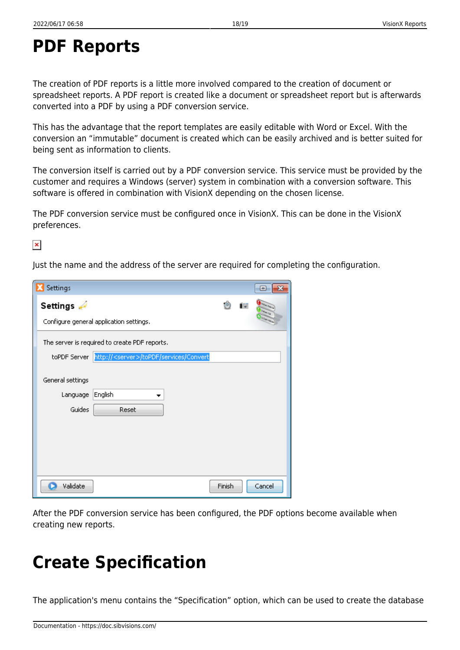## <span id="page-18-0"></span>**PDF Reports**

The creation of PDF reports is a little more involved compared to the creation of document or spreadsheet reports. A PDF report is created like a document or spreadsheet report but is afterwards converted into a PDF by using a PDF conversion service.

This has the advantage that the report templates are easily editable with Word or Excel. With the conversion an "immutable" document is created which can be easily archived and is better suited for being sent as information to clients.

The conversion itself is carried out by a PDF conversion service. This service must be provided by the customer and requires a Windows (server) system in combination with a conversion software. This software is offered in combination with VisionX depending on the chosen license.

The PDF conversion service must be configured once in VisionX. This can be done in the VisionX preferences.

 $\pmb{\times}$ 

Just the name and the address of the server are required for completing the configuration.

| Settings                                                      |        | 同      |
|---------------------------------------------------------------|--------|--------|
| Settings                                                      | 10     |        |
| Configure general application settings.                       |        |        |
| The server is required to create PDF reports.                 |        |        |
| toPDF Server http:// <server>/toPDF/services/Convert</server> |        |        |
| General settings                                              |        |        |
| English<br>Language                                           |        |        |
| Guides<br>Reset                                               |        |        |
|                                                               |        |        |
|                                                               |        |        |
|                                                               |        |        |
| Validate                                                      | Finish | Cancel |

After the PDF conversion service has been configured, the PDF options become available when creating new reports.

## <span id="page-18-1"></span>**Create Specification**

The application's menu contains the "Specification" option, which can be used to create the database